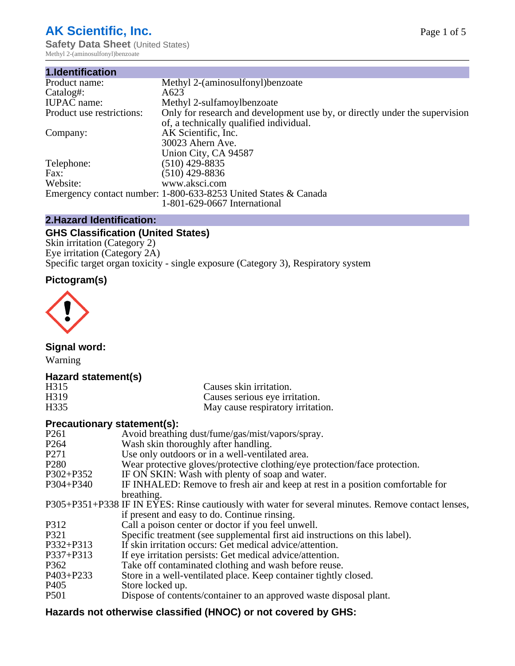# **AK Scientific, Inc.**

**Safety Data Sheet (United States)** Methyl 2-(aminosulfonyl)benzoate

| 1.Identification          |                                                                             |
|---------------------------|-----------------------------------------------------------------------------|
| Product name:             | Methyl 2-(aminosulfonyl) benzoate                                           |
| Catalog#:                 | A623                                                                        |
| <b>IUPAC</b> name:        | Methyl 2-sulfamoylbenzoate                                                  |
| Product use restrictions: | Only for research and development use by, or directly under the supervision |
|                           | of, a technically qualified individual.                                     |
| Company:                  | AK Scientific, Inc.                                                         |
|                           | 30023 Ahern Ave.                                                            |
|                           | Union City, CA 94587                                                        |
| Telephone:                | $(510)$ 429-8835                                                            |
| Fax:                      | $(510)$ 429-8836                                                            |
| Website:                  | www.aksci.com                                                               |
|                           | Emergency contact number: 1-800-633-8253 United States & Canada             |
|                           | 1-801-629-0667 International                                                |

# **2.Hazard Identification:**

# **GHS Classification (United States)**

Skin irritation (Category 2) Eye irritation (Category 2A) Specific target organ toxicity - single exposure (Category 3), Respiratory system

# **Pictogram(s)**



**Signal word:**

Warning

## **Hazard statement(s)**

| H <sub>315</sub>  | Causes skin irritation.           |
|-------------------|-----------------------------------|
| H <sub>3</sub> 19 | Causes serious eye irritation.    |
| H335              | May cause respiratory irritation. |

## **Precautionary statement(s):**

| P <sub>261</sub> | Avoid breathing dust/fume/gas/mist/vapors/spray.                                                   |
|------------------|----------------------------------------------------------------------------------------------------|
| P <sub>264</sub> | Wash skin thoroughly after handling.                                                               |
| P <sub>271</sub> | Use only outdoors or in a well-ventilated area.                                                    |
| P <sub>280</sub> | Wear protective gloves/protective clothing/eye protection/face protection.                         |
| P302+P352        | IF ON SKIN: Wash with plenty of soap and water.                                                    |
| $P304 + P340$    | IF INHALED: Remove to fresh air and keep at rest in a position comfortable for                     |
|                  | breathing.                                                                                         |
|                  | P305+P351+P338 IF IN EYES: Rinse cautiously with water for several minutes. Remove contact lenses, |
|                  | if present and easy to do. Continue rinsing.                                                       |
| P312             | Call a poison center or doctor if you feel unwell.                                                 |
| P321             | Specific treatment (see supplemental first aid instructions on this label).                        |
| P332+P313        | If skin irritation occurs: Get medical advice/attention.                                           |
| P337+P313        | If eye irritation persists: Get medical advice/attention.                                          |
| P362             | Take off contaminated clothing and wash before reuse.                                              |
| $P403 + P233$    | Store in a well-ventilated place. Keep container tightly closed.                                   |
| P <sub>405</sub> | Store locked up.                                                                                   |
| P <sub>501</sub> | Dispose of contents/container to an approved waste disposal plant.                                 |
|                  |                                                                                                    |

# **Hazards not otherwise classified (HNOC) or not covered by GHS:**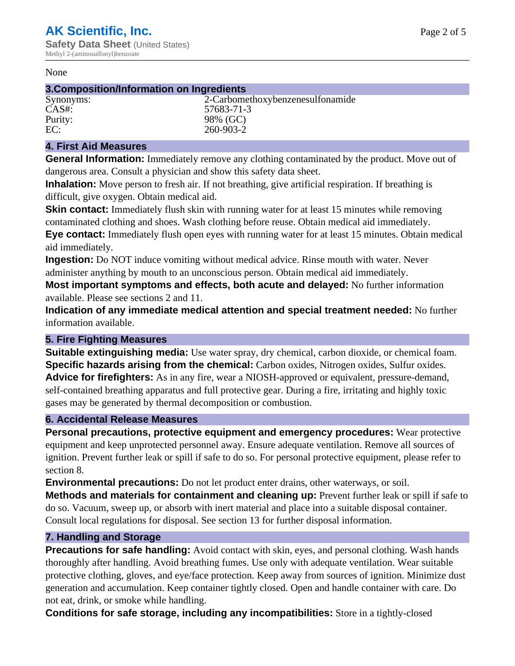#### None

## **3.Composition/Information on Ingredients**

Synonyms: 2-Carbomethoxybenzenesulfonamide CAS#: 57683-71-3 Purity: 98% (GC)<br>EC: 260-903-2 EC: 260-903-2

## **4. First Aid Measures**

**General Information:** Immediately remove any clothing contaminated by the product. Move out of dangerous area. Consult a physician and show this safety data sheet.

**Inhalation:** Move person to fresh air. If not breathing, give artificial respiration. If breathing is difficult, give oxygen. Obtain medical aid.

**Skin contact:** Immediately flush skin with running water for at least 15 minutes while removing contaminated clothing and shoes. Wash clothing before reuse. Obtain medical aid immediately. **Eye contact:** Immediately flush open eyes with running water for at least 15 minutes. Obtain medical aid immediately.

**Ingestion:** Do NOT induce vomiting without medical advice. Rinse mouth with water. Never administer anything by mouth to an unconscious person. Obtain medical aid immediately.

**Most important symptoms and effects, both acute and delayed:** No further information available. Please see sections 2 and 11.

**Indication of any immediate medical attention and special treatment needed:** No further information available.

## **5. Fire Fighting Measures**

**Suitable extinguishing media:** Use water spray, dry chemical, carbon dioxide, or chemical foam. **Specific hazards arising from the chemical:** Carbon oxides, Nitrogen oxides, Sulfur oxides. **Advice for firefighters:** As in any fire, wear a NIOSH-approved or equivalent, pressure-demand, self-contained breathing apparatus and full protective gear. During a fire, irritating and highly toxic gases may be generated by thermal decomposition or combustion.

## **6. Accidental Release Measures**

**Personal precautions, protective equipment and emergency procedures:** Wear protective equipment and keep unprotected personnel away. Ensure adequate ventilation. Remove all sources of ignition. Prevent further leak or spill if safe to do so. For personal protective equipment, please refer to section 8.

**Environmental precautions:** Do not let product enter drains, other waterways, or soil.

**Methods and materials for containment and cleaning up:** Prevent further leak or spill if safe to do so. Vacuum, sweep up, or absorb with inert material and place into a suitable disposal container. Consult local regulations for disposal. See section 13 for further disposal information.

## **7. Handling and Storage**

**Precautions for safe handling:** Avoid contact with skin, eyes, and personal clothing. Wash hands thoroughly after handling. Avoid breathing fumes. Use only with adequate ventilation. Wear suitable protective clothing, gloves, and eye/face protection. Keep away from sources of ignition. Minimize dust generation and accumulation. Keep container tightly closed. Open and handle container with care. Do not eat, drink, or smoke while handling.

**Conditions for safe storage, including any incompatibilities:** Store in a tightly-closed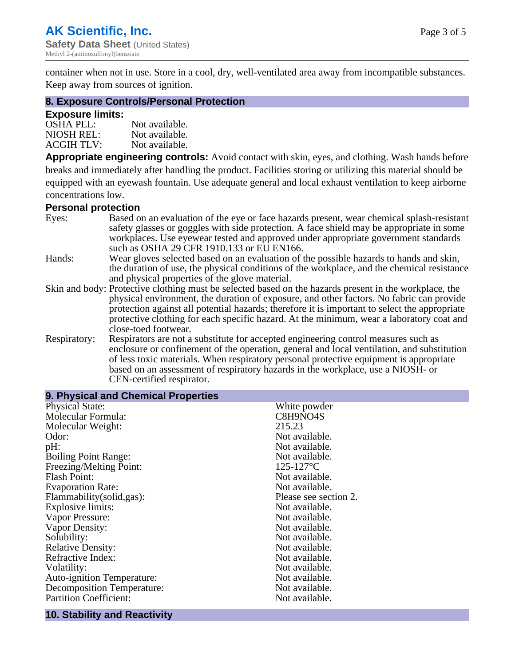container when not in use. Store in a cool, dry, well-ventilated area away from incompatible substances. Keep away from sources of ignition.

#### **8. Exposure Controls/Personal Protection**

#### **Exposure limits:**

| <b>OSHA PEL:</b>  | Not available. |
|-------------------|----------------|
| NIOSH REL:        | Not available. |
| <b>ACGIH TLV:</b> | Not available. |

**Appropriate engineering controls:** Avoid contact with skin, eyes, and clothing. Wash hands before breaks and immediately after handling the product. Facilities storing or utilizing this material should be equipped with an eyewash fountain. Use adequate general and local exhaust ventilation to keep airborne concentrations low.

#### **Personal protection**

| Eyes:        | Based on an evaluation of the eye or face hazards present, wear chemical splash-resistant<br>safety glasses or goggles with side protection. A face shield may be appropriate in some |
|--------------|---------------------------------------------------------------------------------------------------------------------------------------------------------------------------------------|
|              | workplaces. Use eyewear tested and approved under appropriate government standards<br>such as OSHA 29 CFR 1910.133 or EU EN166.                                                       |
| Hands:       | Wear gloves selected based on an evaluation of the possible hazards to hands and skin,                                                                                                |
|              | the duration of use, the physical conditions of the workplace, and the chemical resistance                                                                                            |
|              | and physical properties of the glove material.                                                                                                                                        |
|              | Skin and body: Protective clothing must be selected based on the hazards present in the workplace, the                                                                                |
|              | physical environment, the duration of exposure, and other factors. No fabric can provide                                                                                              |
|              | protection against all potential hazards; therefore it is important to select the appropriate                                                                                         |
|              | protective clothing for each specific hazard. At the minimum, wear a laboratory coat and                                                                                              |
|              | close-toed footwear.                                                                                                                                                                  |
| Respiratory: | Respirators are not a substitute for accepted engineering control measures such as<br>enclosure or confinement of the operation, general and local ventilation, and substitution      |
|              | of less toxic materials. When respiratory personal protective equipment is appropriate                                                                                                |
|              |                                                                                                                                                                                       |
|              | based on an assessment of respiratory hazards in the workplace, use a NIOSH- or                                                                                                       |
|              | CEN-certified respirator.                                                                                                                                                             |

| 9. Physical and Chemical Properties |                       |
|-------------------------------------|-----------------------|
| <b>Physical State:</b>              | White powder          |
| Molecular Formula:                  | C8H9NO4S              |
| Molecular Weight:                   | 215.23                |
| Odor:                               | Not available.        |
| pH:                                 | Not available.        |
| <b>Boiling Point Range:</b>         | Not available.        |
| Freezing/Melting Point:             | $125 - 127$ °C        |
| <b>Flash Point:</b>                 | Not available.        |
| <b>Evaporation Rate:</b>            | Not available.        |
| Flammability(solid,gas):            | Please see section 2. |
| Explosive limits:                   | Not available.        |
| Vapor Pressure:                     | Not available.        |
| Vapor Density:                      | Not available.        |
| Solubility:                         | Not available.        |
| <b>Relative Density:</b>            | Not available.        |
| Refractive Index:                   | Not available.        |
| Volatility:                         | Not available.        |
| <b>Auto-ignition Temperature:</b>   | Not available.        |
| <b>Decomposition Temperature:</b>   | Not available.        |
| <b>Partition Coefficient:</b>       | Not available.        |
|                                     |                       |

# **10. Stability and Reactivity**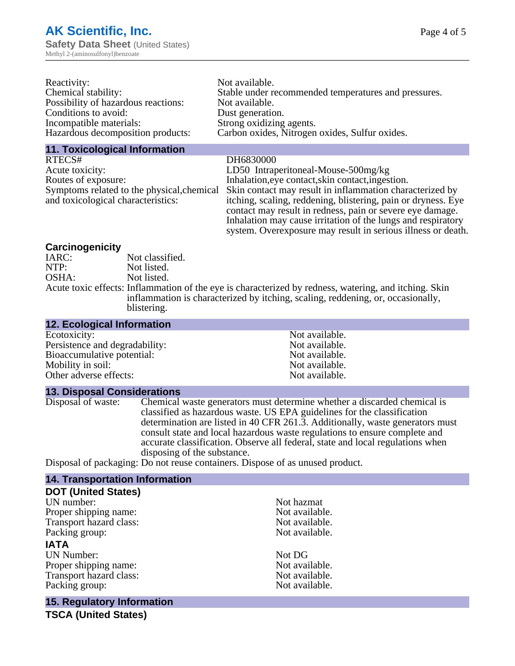| Reactivity:                         | Not available.                                       |
|-------------------------------------|------------------------------------------------------|
| Chemical stability:                 | Stable under recommended temperatures and pressures. |
| Possibility of hazardous reactions: | Not available.                                       |
| Conditions to avoid:                | Dust generation.                                     |
| Incompatible materials:             | Strong oxidizing agents.                             |
| Hazardous decomposition products:   | Carbon oxides, Nitrogen oxides, Sulfur oxides.       |
|                                     |                                                      |

#### **11. Toxicological Information**

RTECS# DH6830000 Acute toxicity:<br>
LD50 Intraperitoneal-Mouse-500mg/kg<br>
Routes of exposure:<br>
Inhalation,eye contact,skin contact,inges Symptoms related to the physical,chemical and toxicological characteristics:

Inhalation,eye contact, skin contact, ingestion. Skin contact may result in inflammation characterized by itching, scaling, reddening, blistering, pain or dryness. Eye contact may result in redness, pain or severe eye damage. Inhalation may cause irritation of the lungs and respiratory system. Overexposure may result in serious illness or death.

## **Carcinogenicity**

| IARC: | Not classified.                                                                                       |
|-------|-------------------------------------------------------------------------------------------------------|
| NTP:  | Not listed.                                                                                           |
| OSHA: | Not listed.                                                                                           |
|       | Acute toxic effects: Inflammation of the eye is characterized by redness, watering, and itching. Skin |
|       | inflammation is characterized by itching, scaling, reddening, or, occasionally,                       |
|       | blistering.                                                                                           |
|       |                                                                                                       |

| <b>12. ECOlogical Information</b> |                |
|-----------------------------------|----------------|
| Ecotoxicity:                      | Not available. |
| Persistence and degradability:    | Not available. |
| Bioaccumulative potential:        | Not available. |
| Mobility in soil:                 | Not available. |
| Other adverse effects:            | Not available. |

#### **13. Disposal Considerations**

**12. Ecological Information**

Disposal of waste: Chemical waste generators must determine whether a discarded chemical is classified as hazardous waste. US EPA guidelines for the classification determination are listed in 40 CFR 261.3. Additionally, waste generators must consult state and local hazardous waste regulations to ensure complete and accurate classification. Observe all federal, state and local regulations when disposing of the substance.

Disposal of packaging: Do not reuse containers. Dispose of as unused product.

## **14. Transportation Information**

#### **DOT (United States)**

| UN number:                        | Not hazmat     |
|-----------------------------------|----------------|
| Proper shipping name:             | Not available. |
| Transport hazard class:           | Not available. |
| Packing group:                    | Not available. |
| IATA                              |                |
| <b>UN Number:</b>                 | Not DG         |
| Proper shipping name:             | Not available. |
| Transport hazard class:           | Not available. |
| Packing group:                    | Not available. |
| <b>15. Regulatory Information</b> |                |

**TSCA (United States)**